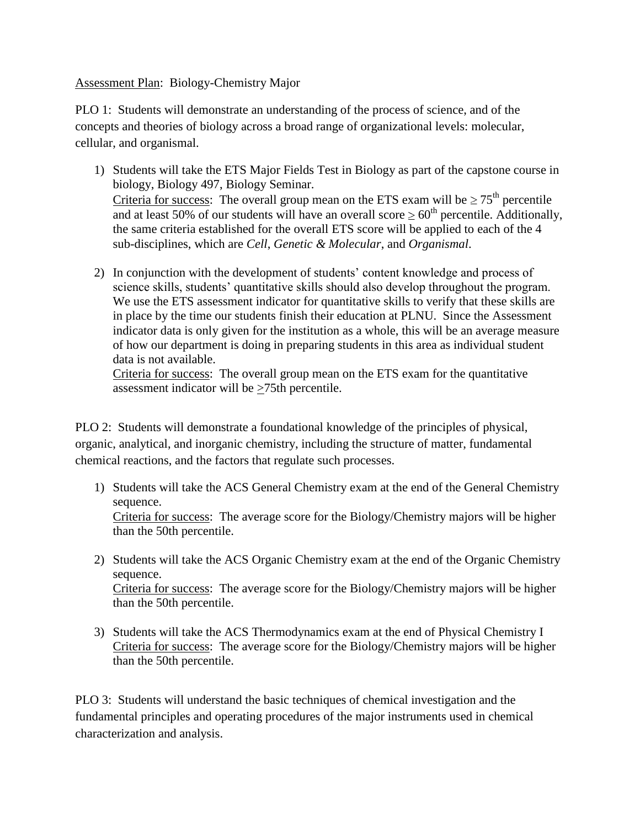Assessment Plan: Biology-Chemistry Major

PLO 1: Students will demonstrate an understanding of the process of science, and of the concepts and theories of biology across a broad range of organizational levels: molecular, cellular, and organismal.

- 1) Students will take the ETS Major Fields Test in Biology as part of the capstone course in biology, Biology 497, Biology Seminar. Criteria for success: The overall group mean on the ETS exam will be  $\geq 75^{\text{th}}$  percentile and at least 50% of our students will have an overall score  $\geq 60^{th}$  percentile. Additionally, the same criteria established for the overall ETS score will be applied to each of the 4 sub-disciplines, which are *Cell*, *Genetic & Molecular*, and *Organismal*.
- 2) In conjunction with the development of students' content knowledge and process of science skills, students' quantitative skills should also develop throughout the program. We use the ETS assessment indicator for quantitative skills to verify that these skills are in place by the time our students finish their education at PLNU. Since the Assessment indicator data is only given for the institution as a whole, this will be an average measure of how our department is doing in preparing students in this area as individual student data is not available.

Criteria for success: The overall group mean on the ETS exam for the quantitative assessment indicator will be >75th percentile.

PLO 2: Students will demonstrate a foundational knowledge of the principles of physical, organic, analytical, and inorganic chemistry, including the structure of matter, fundamental chemical reactions, and the factors that regulate such processes.

- 1) Students will take the ACS General Chemistry exam at the end of the General Chemistry sequence. Criteria for success: The average score for the Biology/Chemistry majors will be higher than the 50th percentile.
- 2) Students will take the ACS Organic Chemistry exam at the end of the Organic Chemistry sequence. Criteria for success: The average score for the Biology/Chemistry majors will be higher than the 50th percentile.
- 3) Students will take the ACS Thermodynamics exam at the end of Physical Chemistry I Criteria for success: The average score for the Biology/Chemistry majors will be higher than the 50th percentile.

PLO 3: Students will understand the basic techniques of chemical investigation and the fundamental principles and operating procedures of the major instruments used in chemical characterization and analysis.